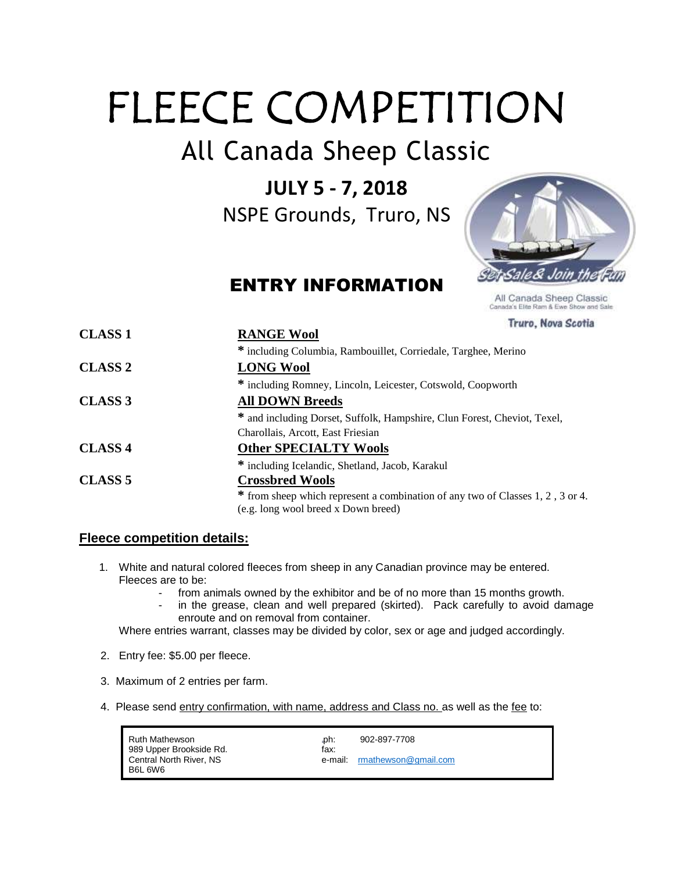## FLEECE COMPETITION

All Canada Sheep Classic

**JULY 5 - 7, 2018**

NSPE Grounds, Truro, NS

ENTRY INFORMATION



All Canada Sheep Classic Canada's Elite Ram & Ewe Show and Sale

Truro, Nova Scotia

| <b>CLASS 1</b> | <b>RANGE Wool</b>                                                              |
|----------------|--------------------------------------------------------------------------------|
|                | * including Columbia, Rambouillet, Corriedale, Targhee, Merino                 |
| <b>CLASS 2</b> | <b>LONG Wool</b>                                                               |
|                | * including Romney, Lincoln, Leicester, Cotswold, Coopworth                    |
| <b>CLASS 3</b> | <b>All DOWN Breeds</b>                                                         |
|                | * and including Dorset, Suffolk, Hampshire, Clun Forest, Cheviot, Texel,       |
|                | Charollais, Arcott, East Friesian                                              |
| <b>CLASS 4</b> | <b>Other SPECIALTY Wools</b>                                                   |
|                | * including Icelandic, Shetland, Jacob, Karakul                                |
| <b>CLASS 5</b> | <b>Crossbred Wools</b>                                                         |
|                | * from sheep which represent a combination of any two of Classes 1, 2, 3 or 4. |
|                | (e.g. long wool breed x Down breed)                                            |

## **Fleece competition details:**

- 1. White and natural colored fleeces from sheep in any Canadian province may be entered. Fleeces are to be:
	- from animals owned by the exhibitor and be of no more than 15 months growth.
	- in the grease, clean and well prepared (skirted). Pack carefully to avoid damage enroute and on removal from container.

Where entries warrant, classes may be divided by color, sex or age and judged accordingly.

- 2. Entry fee: \$5.00 per fleece.
- 3. Maximum of 2 entries per farm.
- 4. Please send entry confirmation, with name, address and Class no. as well as the fee to:

| Ruth Mathewson<br>989 Upper Brookside Rd. | .ph:<br>fax: | 902-897-7708                 |
|-------------------------------------------|--------------|------------------------------|
| Central North River, NS                   |              | e-mail: rmathewson@gmail.com |
| B6L 6W6                                   |              |                              |